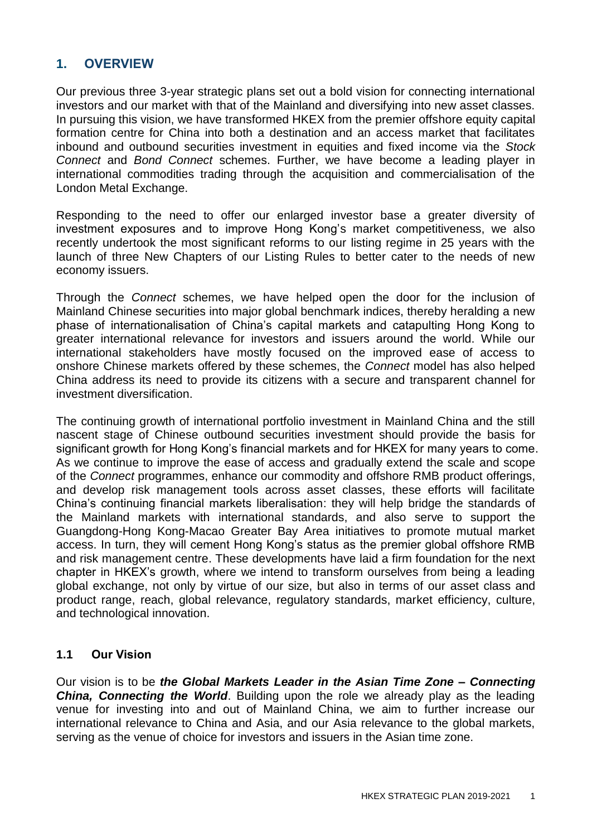# **1. OVERVIEW**

Our previous three 3-year strategic plans set out a bold vision for connecting international investors and our market with that of the Mainland and diversifying into new asset classes. In pursuing this vision, we have transformed HKEX from the premier offshore equity capital formation centre for China into both a destination and an access market that facilitates inbound and outbound securities investment in equities and fixed income via the *Stock Connect* and *Bond Connect* schemes. Further, we have become a leading player in international commodities trading through the acquisition and commercialisation of the London Metal Exchange.

Responding to the need to offer our enlarged investor base a greater diversity of investment exposures and to improve Hong Kong's market competitiveness, we also recently undertook the most significant reforms to our listing regime in 25 years with the launch of three New Chapters of our Listing Rules to better cater to the needs of new economy issuers.

Through the *Connect* schemes, we have helped open the door for the inclusion of Mainland Chinese securities into major global benchmark indices, thereby heralding a new phase of internationalisation of China's capital markets and catapulting Hong Kong to greater international relevance for investors and issuers around the world. While our international stakeholders have mostly focused on the improved ease of access to onshore Chinese markets offered by these schemes, the *Connect* model has also helped China address its need to provide its citizens with a secure and transparent channel for investment diversification.

The continuing growth of international portfolio investment in Mainland China and the still nascent stage of Chinese outbound securities investment should provide the basis for significant growth for Hong Kong's financial markets and for HKEX for many years to come. As we continue to improve the ease of access and gradually extend the scale and scope of the *Connect* programmes, enhance our commodity and offshore RMB product offerings, and develop risk management tools across asset classes, these efforts will facilitate China's continuing financial markets liberalisation: they will help bridge the standards of the Mainland markets with international standards, and also serve to support the Guangdong-Hong Kong-Macao Greater Bay Area initiatives to promote mutual market access. In turn, they will cement Hong Kong's status as the premier global offshore RMB and risk management centre. These developments have laid a firm foundation for the next chapter in HKEX's growth, where we intend to transform ourselves from being a leading global exchange, not only by virtue of our size, but also in terms of our asset class and product range, reach, global relevance, regulatory standards, market efficiency, culture, and technological innovation.

#### **1.1 Our Vision**

Our vision is to be *the Global Markets Leader in the Asian Time Zone – Connecting China, Connecting the World*. Building upon the role we already play as the leading venue for investing into and out of Mainland China, we aim to further increase our international relevance to China and Asia, and our Asia relevance to the global markets, serving as the venue of choice for investors and issuers in the Asian time zone.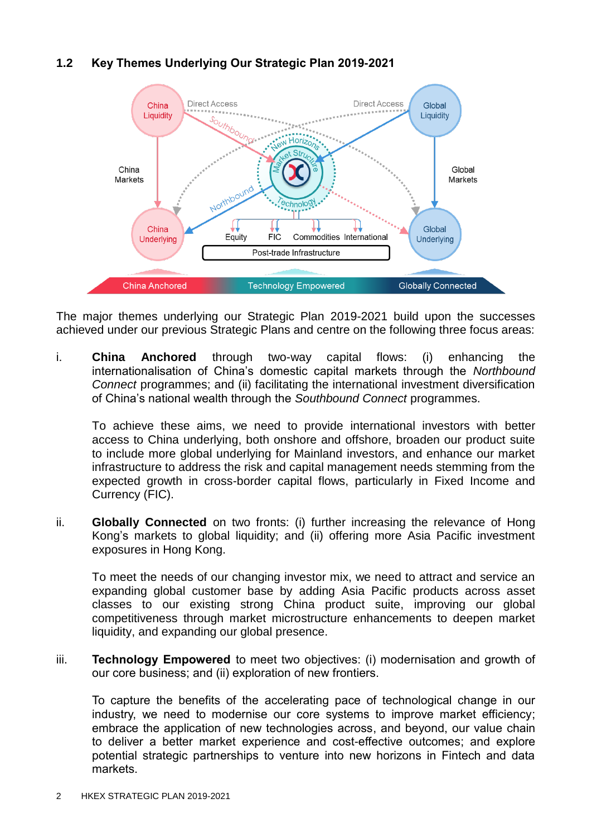# **1.2 Key Themes Underlying Our Strategic Plan 2019-2021**



The major themes underlying our Strategic Plan 2019-2021 build upon the successes achieved under our previous Strategic Plans and centre on the following three focus areas:

i. **China Anchored** through two-way capital flows: (i) enhancing the internationalisation of China's domestic capital markets through the *Northbound Connect* programmes; and (ii) facilitating the international investment diversification of China's national wealth through the *Southbound Connect* programmes.

To achieve these aims, we need to provide international investors with better access to China underlying, both onshore and offshore, broaden our product suite to include more global underlying for Mainland investors, and enhance our market infrastructure to address the risk and capital management needs stemming from the expected growth in cross-border capital flows, particularly in Fixed Income and Currency (FIC).

ii. **Globally Connected** on two fronts: (i) further increasing the relevance of Hong Kong's markets to global liquidity; and (ii) offering more Asia Pacific investment exposures in Hong Kong.

To meet the needs of our changing investor mix, we need to attract and service an expanding global customer base by adding Asia Pacific products across asset classes to our existing strong China product suite, improving our global competitiveness through market microstructure enhancements to deepen market liquidity, and expanding our global presence.

iii. **Technology Empowered** to meet two objectives: (i) modernisation and growth of our core business; and (ii) exploration of new frontiers.

To capture the benefits of the accelerating pace of technological change in our industry, we need to modernise our core systems to improve market efficiency; embrace the application of new technologies across, and beyond, our value chain to deliver a better market experience and cost-effective outcomes; and explore potential strategic partnerships to venture into new horizons in Fintech and data markets.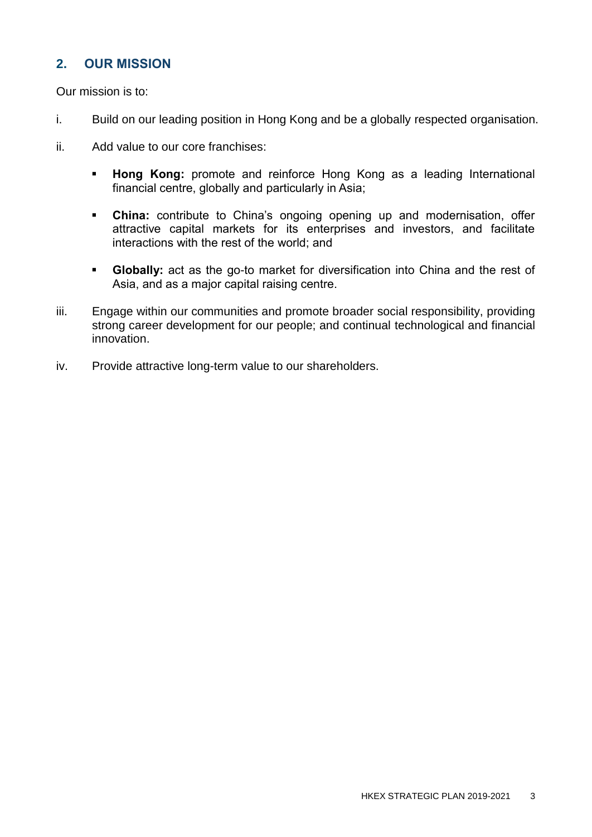# **2. OUR MISSION**

Our mission is to:

- i. Build on our leading position in Hong Kong and be a globally respected organisation.
- ii. Add value to our core franchises:
	- **Hong Kong:** promote and reinforce Hong Kong as a leading International financial centre, globally and particularly in Asia;
	- **China:** contribute to China's ongoing opening up and modernisation, offer attractive capital markets for its enterprises and investors, and facilitate interactions with the rest of the world; and
	- **Globally:** act as the go-to market for diversification into China and the rest of Asia, and as a major capital raising centre.
- iii. Engage within our communities and promote broader social responsibility, providing strong career development for our people; and continual technological and financial innovation.
- iv. Provide attractive long-term value to our shareholders.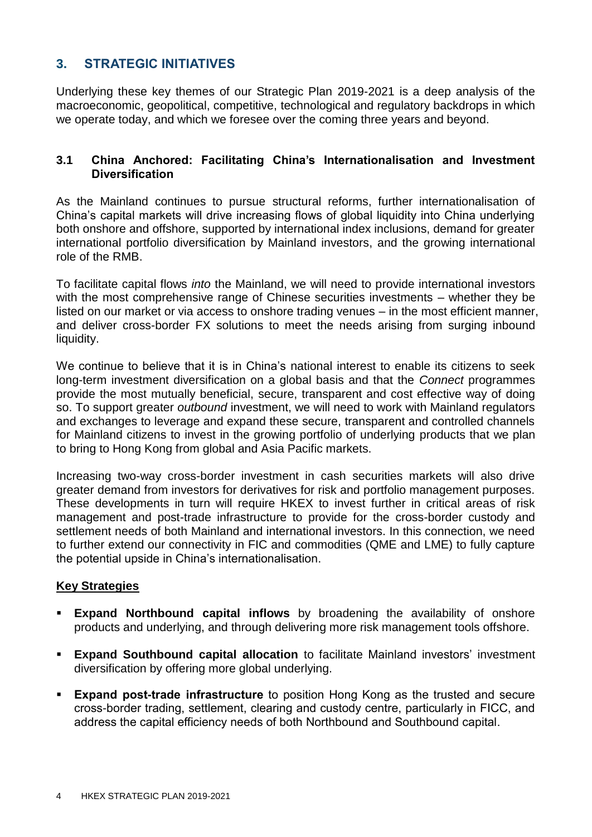# **3. STRATEGIC INITIATIVES**

Underlying these key themes of our Strategic Plan 2019-2021 is a deep analysis of the macroeconomic, geopolitical, competitive, technological and regulatory backdrops in which we operate today, and which we foresee over the coming three years and beyond.

#### **3.1 China Anchored: Facilitating China's Internationalisation and Investment Diversification**

As the Mainland continues to pursue structural reforms, further internationalisation of China's capital markets will drive increasing flows of global liquidity into China underlying both onshore and offshore, supported by international index inclusions, demand for greater international portfolio diversification by Mainland investors, and the growing international role of the RMB.

To facilitate capital flows *into* the Mainland, we will need to provide international investors with the most comprehensive range of Chinese securities investments – whether they be listed on our market or via access to onshore trading venues – in the most efficient manner, and deliver cross-border FX solutions to meet the needs arising from surging inbound liquidity.

We continue to believe that it is in China's national interest to enable its citizens to seek long-term investment diversification on a global basis and that the *Connect* programmes provide the most mutually beneficial, secure, transparent and cost effective way of doing so. To support greater *outbound* investment, we will need to work with Mainland regulators and exchanges to leverage and expand these secure, transparent and controlled channels for Mainland citizens to invest in the growing portfolio of underlying products that we plan to bring to Hong Kong from global and Asia Pacific markets.

Increasing two-way cross-border investment in cash securities markets will also drive greater demand from investors for derivatives for risk and portfolio management purposes. These developments in turn will require HKEX to invest further in critical areas of risk management and post-trade infrastructure to provide for the cross-border custody and settlement needs of both Mainland and international investors. In this connection, we need to further extend our connectivity in FIC and commodities (QME and LME) to fully capture the potential upside in China's internationalisation.

#### **Key Strategies**

- **Expand Northbound capital inflows** by broadening the availability of onshore products and underlying, and through delivering more risk management tools offshore.
- **Expand Southbound capital allocation** to facilitate Mainland investors' investment diversification by offering more global underlying.
- **Expand post-trade infrastructure** to position Hong Kong as the trusted and secure cross-border trading, settlement, clearing and custody centre, particularly in FICC, and address the capital efficiency needs of both Northbound and Southbound capital.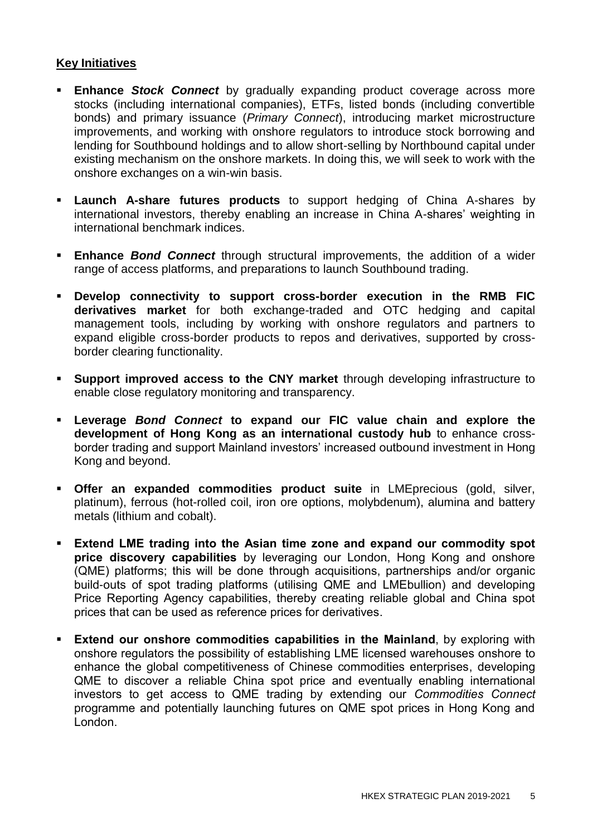## **Key Initiatives**

- **Enhance Stock Connect** by gradually expanding product coverage across more stocks (including international companies), ETFs, listed bonds (including convertible bonds) and primary issuance (*Primary Connect*), introducing market microstructure improvements, and working with onshore regulators to introduce stock borrowing and lending for Southbound holdings and to allow short-selling by Northbound capital under existing mechanism on the onshore markets. In doing this, we will seek to work with the onshore exchanges on a win-win basis.
- **Launch A-share futures products** to support hedging of China A-shares by international investors, thereby enabling an increase in China A-shares' weighting in international benchmark indices.
- **Enhance** *Bond Connect* through structural improvements, the addition of a wider range of access platforms, and preparations to launch Southbound trading.
- **Develop connectivity to support cross-border execution in the RMB FIC derivatives market** for both exchange-traded and OTC hedging and capital management tools, including by working with onshore regulators and partners to expand eligible cross-border products to repos and derivatives, supported by crossborder clearing functionality.
- **Support improved access to the CNY market** through developing infrastructure to enable close regulatory monitoring and transparency.
- **Leverage** *Bond Connect* **to expand our FIC value chain and explore the development of Hong Kong as an international custody hub** to enhance crossborder trading and support Mainland investors' increased outbound investment in Hong Kong and beyond.
- **Offer an expanded commodities product suite** in LMEprecious (gold, silver, platinum), ferrous (hot-rolled coil, iron ore options, molybdenum), alumina and battery metals (lithium and cobalt).
- **Extend LME trading into the Asian time zone and expand our commodity spot price discovery capabilities** by leveraging our London, Hong Kong and onshore (QME) platforms; this will be done through acquisitions, partnerships and/or organic build-outs of spot trading platforms (utilising QME and LMEbullion) and developing Price Reporting Agency capabilities, thereby creating reliable global and China spot prices that can be used as reference prices for derivatives.
- **Extend our onshore commodities capabilities in the Mainland**, by exploring with onshore regulators the possibility of establishing LME licensed warehouses onshore to enhance the global competitiveness of Chinese commodities enterprises, developing QME to discover a reliable China spot price and eventually enabling international investors to get access to QME trading by extending our *Commodities Connect* programme and potentially launching futures on QME spot prices in Hong Kong and London.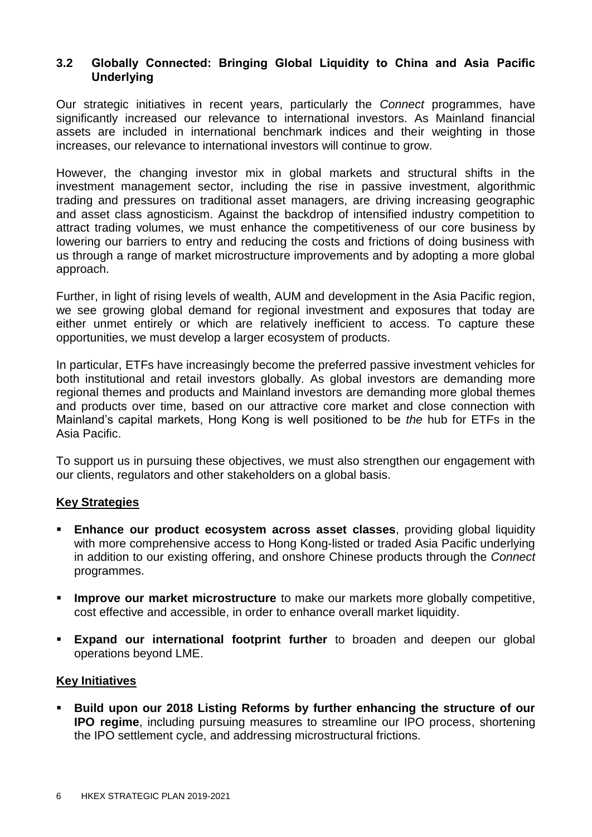## **3.2 Globally Connected: Bringing Global Liquidity to China and Asia Pacific Underlying**

Our strategic initiatives in recent years, particularly the *Connect* programmes, have significantly increased our relevance to international investors. As Mainland financial assets are included in international benchmark indices and their weighting in those increases, our relevance to international investors will continue to grow.

However, the changing investor mix in global markets and structural shifts in the investment management sector, including the rise in passive investment, algorithmic trading and pressures on traditional asset managers, are driving increasing geographic and asset class agnosticism. Against the backdrop of intensified industry competition to attract trading volumes, we must enhance the competitiveness of our core business by lowering our barriers to entry and reducing the costs and frictions of doing business with us through a range of market microstructure improvements and by adopting a more global approach.

Further, in light of rising levels of wealth, AUM and development in the Asia Pacific region, we see growing global demand for regional investment and exposures that today are either unmet entirely or which are relatively inefficient to access. To capture these opportunities, we must develop a larger ecosystem of products.

In particular, ETFs have increasingly become the preferred passive investment vehicles for both institutional and retail investors globally. As global investors are demanding more regional themes and products and Mainland investors are demanding more global themes and products over time, based on our attractive core market and close connection with Mainland's capital markets, Hong Kong is well positioned to be *the* hub for ETFs in the Asia Pacific.

To support us in pursuing these objectives, we must also strengthen our engagement with our clients, regulators and other stakeholders on a global basis.

#### **Key Strategies**

- **Enhance our product ecosystem across asset classes**, providing global liquidity with more comprehensive access to Hong Kong-listed or traded Asia Pacific underlying in addition to our existing offering, and onshore Chinese products through the *Connect* programmes.
- **Improve our market microstructure** to make our markets more globally competitive, cost effective and accessible, in order to enhance overall market liquidity.
- **Expand our international footprint further** to broaden and deepen our global operations beyond LME.

#### **Key Initiatives**

 **Build upon our 2018 Listing Reforms by further enhancing the structure of our IPO regime**, including pursuing measures to streamline our IPO process, shortening the IPO settlement cycle, and addressing microstructural frictions.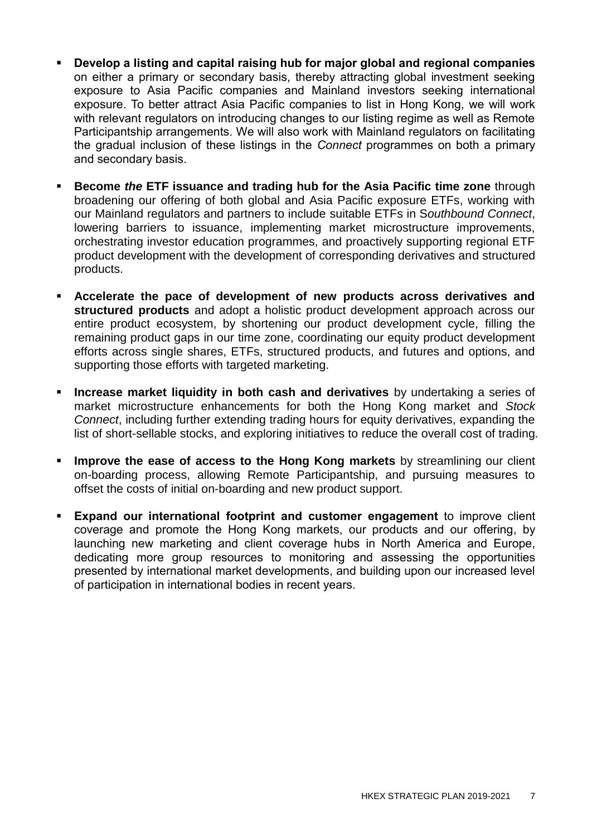- **Develop a listing and capital raising hub for major global and regional companies** on either a primary or secondary basis, thereby attracting global investment seeking exposure to Asia Pacific companies and Mainland investors seeking international exposure. To better attract Asia Pacific companies to list in Hong Kong, we will work with relevant regulators on introducing changes to our listing regime as well as Remote Participantship arrangements. We will also work with Mainland regulators on facilitating the gradual inclusion of these listings in the *Connect* programmes on both a primary and secondary basis.
- **Become** *the* **ETF issuance and trading hub for the Asia Pacific time zone** through broadening our offering of both global and Asia Pacific exposure ETFs, working with our Mainland regulators and partners to include suitable ETFs in S*outhbound Connect*, lowering barriers to issuance, implementing market microstructure improvements, orchestrating investor education programmes, and proactively supporting regional ETF product development with the development of corresponding derivatives and structured products.
- **Accelerate the pace of development of new products across derivatives and structured products** and adopt a holistic product development approach across our entire product ecosystem, by shortening our product development cycle, filling the remaining product gaps in our time zone, coordinating our equity product development efforts across single shares, ETFs, structured products, and futures and options, and supporting those efforts with targeted marketing.
- **Increase market liquidity in both cash and derivatives** by undertaking a series of market microstructure enhancements for both the Hong Kong market and *Stock Connect*, including further extending trading hours for equity derivatives, expanding the list of short-sellable stocks, and exploring initiatives to reduce the overall cost of trading.
- **Improve the ease of access to the Hong Kong markets** by streamlining our client on-boarding process, allowing Remote Participantship, and pursuing measures to offset the costs of initial on-boarding and new product support.
- **Expand our international footprint and customer engagement** to improve client coverage and promote the Hong Kong markets, our products and our offering, by launching new marketing and client coverage hubs in North America and Europe, dedicating more group resources to monitoring and assessing the opportunities presented by international market developments, and building upon our increased level of participation in international bodies in recent years.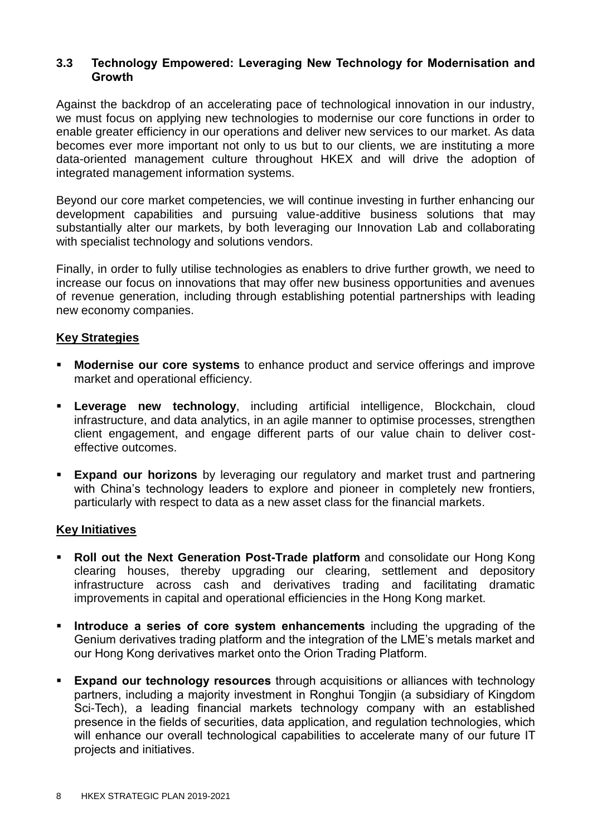### **3.3 Technology Empowered: Leveraging New Technology for Modernisation and Growth**

Against the backdrop of an accelerating pace of technological innovation in our industry, we must focus on applying new technologies to modernise our core functions in order to enable greater efficiency in our operations and deliver new services to our market. As data becomes ever more important not only to us but to our clients, we are instituting a more data-oriented management culture throughout HKEX and will drive the adoption of integrated management information systems.

Beyond our core market competencies, we will continue investing in further enhancing our development capabilities and pursuing value-additive business solutions that may substantially alter our markets, by both leveraging our Innovation Lab and collaborating with specialist technology and solutions vendors.

Finally, in order to fully utilise technologies as enablers to drive further growth, we need to increase our focus on innovations that may offer new business opportunities and avenues of revenue generation, including through establishing potential partnerships with leading new economy companies.

## **Key Strategies**

- **Modernise our core systems** to enhance product and service offerings and improve market and operational efficiency.
- **Leverage new technology**, including artificial intelligence, Blockchain, cloud infrastructure, and data analytics, in an agile manner to optimise processes, strengthen client engagement, and engage different parts of our value chain to deliver costeffective outcomes.
- **Expand our horizons** by leveraging our regulatory and market trust and partnering with China's technology leaders to explore and pioneer in completely new frontiers, particularly with respect to data as a new asset class for the financial markets.

#### **Key Initiatives**

- **Roll out the Next Generation Post-Trade platform** and consolidate our Hong Kong clearing houses, thereby upgrading our clearing, settlement and depository infrastructure across cash and derivatives trading and facilitating dramatic improvements in capital and operational efficiencies in the Hong Kong market.
- **Introduce a series of core system enhancements** including the upgrading of the Genium derivatives trading platform and the integration of the LME's metals market and our Hong Kong derivatives market onto the Orion Trading Platform.
- **Expand our technology resources** through acquisitions or alliances with technology partners, including a majority investment in Ronghui Tongjin (a subsidiary of Kingdom Sci-Tech), a leading financial markets technology company with an established presence in the fields of securities, data application, and regulation technologies, which will enhance our overall technological capabilities to accelerate many of our future IT projects and initiatives.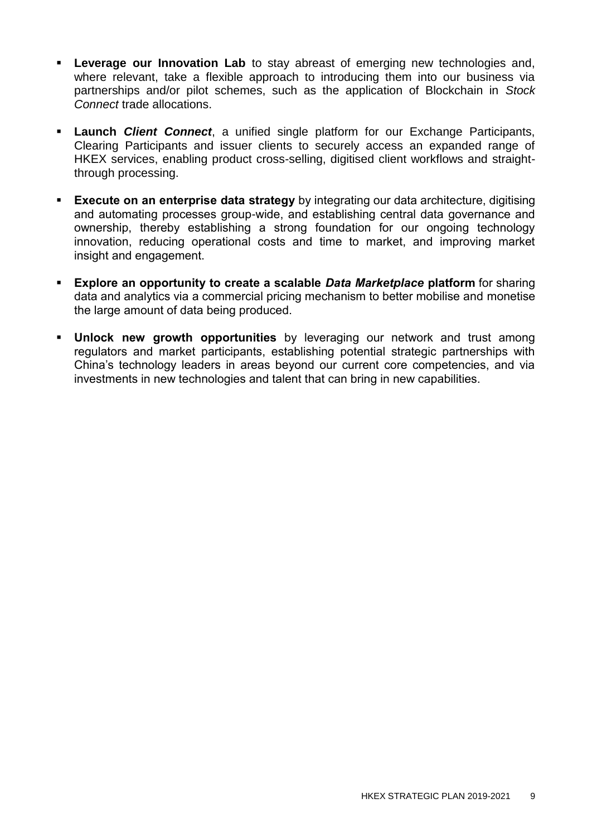- **Leverage our Innovation Lab** to stay abreast of emerging new technologies and, where relevant, take a flexible approach to introducing them into our business via partnerships and/or pilot schemes, such as the application of Blockchain in *Stock Connect* trade allocations.
- **Launch** *Client Connect*, a unified single platform for our Exchange Participants, Clearing Participants and issuer clients to securely access an expanded range of HKEX services, enabling product cross-selling, digitised client workflows and straightthrough processing.
- **Execute on an enterprise data strategy** by integrating our data architecture, digitising and automating processes group-wide, and establishing central data governance and ownership, thereby establishing a strong foundation for our ongoing technology innovation, reducing operational costs and time to market, and improving market insight and engagement.
- **Explore an opportunity to create a scalable** *Data Marketplace* **platform** for sharing data and analytics via a commercial pricing mechanism to better mobilise and monetise the large amount of data being produced.
- **Unlock new growth opportunities** by leveraging our network and trust among regulators and market participants, establishing potential strategic partnerships with China's technology leaders in areas beyond our current core competencies, and via investments in new technologies and talent that can bring in new capabilities.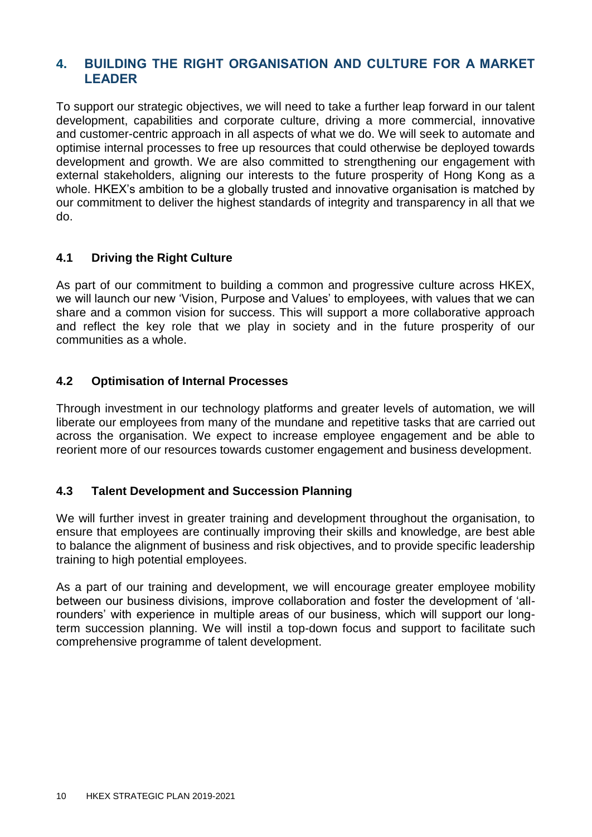## **4. BUILDING THE RIGHT ORGANISATION AND CULTURE FOR A MARKET LEADER**

To support our strategic objectives, we will need to take a further leap forward in our talent development, capabilities and corporate culture, driving a more commercial, innovative and customer-centric approach in all aspects of what we do. We will seek to automate and optimise internal processes to free up resources that could otherwise be deployed towards development and growth. We are also committed to strengthening our engagement with external stakeholders, aligning our interests to the future prosperity of Hong Kong as a whole. HKEX's ambition to be a globally trusted and innovative organisation is matched by our commitment to deliver the highest standards of integrity and transparency in all that we do.

## **4.1 Driving the Right Culture**

As part of our commitment to building a common and progressive culture across HKEX, we will launch our new 'Vision, Purpose and Values' to employees, with values that we can share and a common vision for success. This will support a more collaborative approach and reflect the key role that we play in society and in the future prosperity of our communities as a whole.

## **4.2 Optimisation of Internal Processes**

Through investment in our technology platforms and greater levels of automation, we will liberate our employees from many of the mundane and repetitive tasks that are carried out across the organisation. We expect to increase employee engagement and be able to reorient more of our resources towards customer engagement and business development.

#### **4.3 Talent Development and Succession Planning**

We will further invest in greater training and development throughout the organisation, to ensure that employees are continually improving their skills and knowledge, are best able to balance the alignment of business and risk objectives, and to provide specific leadership training to high potential employees.

As a part of our training and development, we will encourage greater employee mobility between our business divisions, improve collaboration and foster the development of 'allrounders' with experience in multiple areas of our business, which will support our longterm succession planning. We will instil a top-down focus and support to facilitate such comprehensive programme of talent development.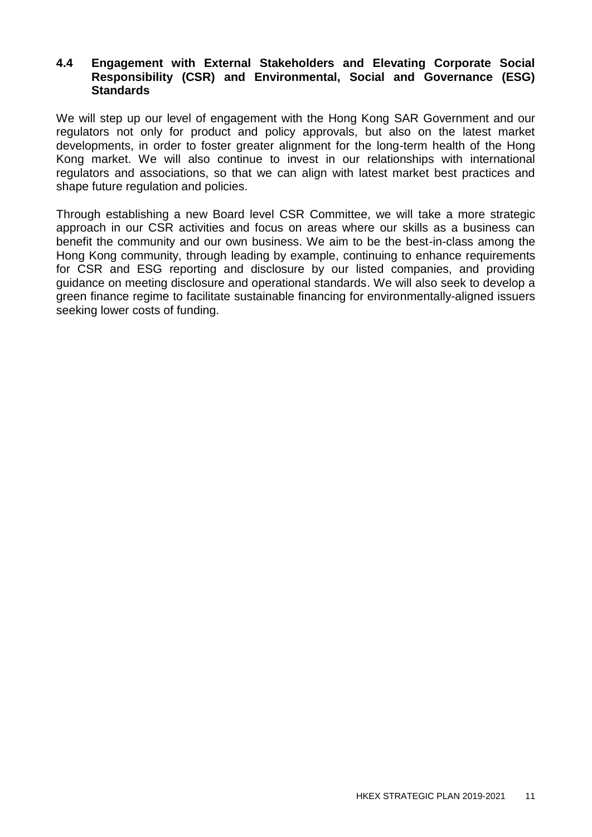#### **4.4 Engagement with External Stakeholders and Elevating Corporate Social Responsibility (CSR) and Environmental, Social and Governance (ESG) Standards**

We will step up our level of engagement with the Hong Kong SAR Government and our regulators not only for product and policy approvals, but also on the latest market developments, in order to foster greater alignment for the long-term health of the Hong Kong market. We will also continue to invest in our relationships with international regulators and associations, so that we can align with latest market best practices and shape future regulation and policies.

Through establishing a new Board level CSR Committee, we will take a more strategic approach in our CSR activities and focus on areas where our skills as a business can benefit the community and our own business. We aim to be the best-in-class among the Hong Kong community, through leading by example, continuing to enhance requirements for CSR and ESG reporting and disclosure by our listed companies, and providing guidance on meeting disclosure and operational standards. We will also seek to develop a green finance regime to facilitate sustainable financing for environmentally-aligned issuers seeking lower costs of funding.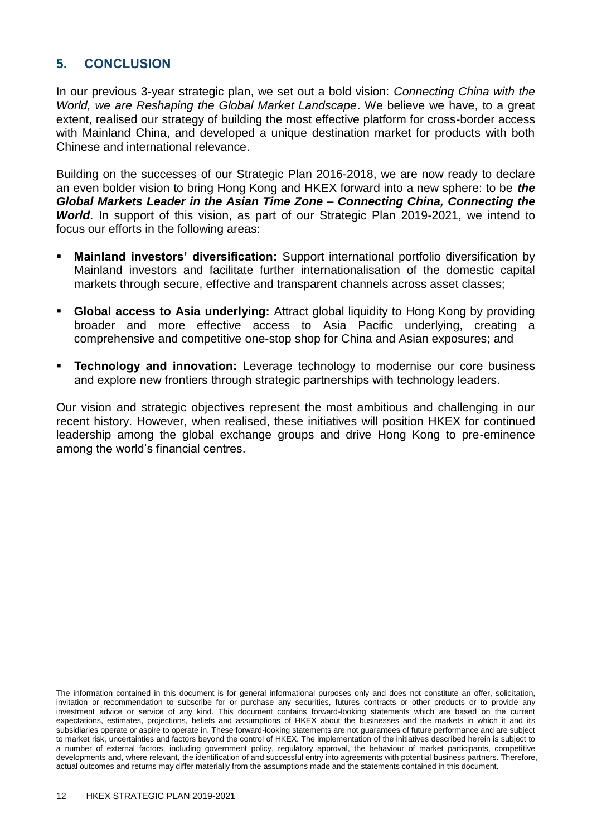# **5. CONCLUSION**

In our previous 3-year strategic plan, we set out a bold vision: *Connecting China with the World, we are Reshaping the Global Market Landscape*. We believe we have, to a great extent, realised our strategy of building the most effective platform for cross-border access with Mainland China, and developed a unique destination market for products with both Chinese and international relevance.

Building on the successes of our Strategic Plan 2016-2018, we are now ready to declare an even bolder vision to bring Hong Kong and HKEX forward into a new sphere: to be *the Global Markets Leader in the Asian Time Zone – Connecting China, Connecting the World*. In support of this vision, as part of our Strategic Plan 2019-2021, we intend to focus our efforts in the following areas:

- **Mainland investors' diversification:** Support international portfolio diversification by Mainland investors and facilitate further internationalisation of the domestic capital markets through secure, effective and transparent channels across asset classes;
- **Global access to Asia underlying:** Attract global liquidity to Hong Kong by providing broader and more effective access to Asia Pacific underlying, creating a comprehensive and competitive one-stop shop for China and Asian exposures; and
- **Technology and innovation:** Leverage technology to modernise our core business and explore new frontiers through strategic partnerships with technology leaders.

Our vision and strategic objectives represent the most ambitious and challenging in our recent history. However, when realised, these initiatives will position HKEX for continued leadership among the global exchange groups and drive Hong Kong to pre-eminence among the world's financial centres.

The information contained in this document is for general informational purposes only and does not constitute an offer, solicitation, invitation or recommendation to subscribe for or purchase any securities, futures contracts or other products or to provide any investment advice or service of any kind. This document contains forward-looking statements which are based on the current expectations, estimates, projections, beliefs and assumptions of HKEX about the businesses and the markets in which it and its subsidiaries operate or aspire to operate in. These forward-looking statements are not guarantees of future performance and are subject to market risk, uncertainties and factors beyond the control of HKEX. The implementation of the initiatives described herein is subject to a number of external factors, including government policy, regulatory approval, the behaviour of market participants, competitive developments and, where relevant, the identification of and successful entry into agreements with potential business partners. Therefore, actual outcomes and returns may differ materially from the assumptions made and the statements contained in this document.